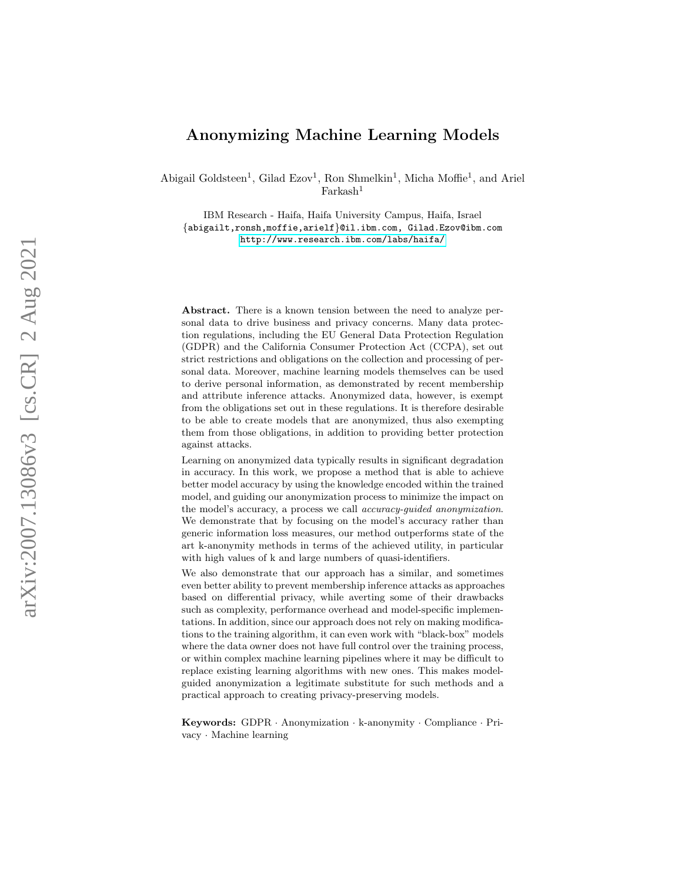# Anonymizing Machine Learning Models

Abigail Goldsteen<sup>1</sup>, Gilad Ezov<sup>1</sup>, Ron Shmelkin<sup>1</sup>, Micha Moffie<sup>1</sup>, and Ariel Farkash 1

IBM Research - Haifa, Haifa University Campus, Haifa, Israel {abigailt,ronsh,moffie,arielf }@il.ibm.com, Gilad.Ezov@ibm.com <http://www.research.ibm.com/labs/haifa/>

Abstract. There is a known tension between the need to analyze personal data to drive business and privacy concerns. Many data protection regulations, including the EU General Data Protection Regulation (GDPR) and the California Consumer Protection Act (CCPA), set out strict restrictions and obligations on the collection and processing of personal data. Moreover, machine learning models themselves can be used to derive personal information, as demonstrated by recent membership and attribute inference attacks. Anonymized data, however, is exempt from the obligations set out in these regulations. It is therefore desirable to be able to create models that are anonymized, thus also exempting them from those obligations, in addition to providing better protection against attacks.

Learning on anonymized data typically results in significant degradation in accuracy. In this work, we propose a method that is able to achieve better model accuracy by using the knowledge encoded within the trained model, and guiding our anonymization process to minimize the impact on the model's accuracy, a process we call *accuracy-guided anonymization*. We demonstrate that by focusing on the model's accuracy rather than generic information loss measures, our method outperforms state of the art k-anonymity methods in terms of the achieved utility, in particular with high values of k and large numbers of quasi-identifiers.

We also demonstrate that our approach has a similar, and sometimes even better ability to prevent membership inference attacks as approaches based on differential privacy, while averting some of their drawbacks such as complexity, performance overhead and model-specific implementations. In addition, since our approach does not rely on making modifications to the training algorithm, it can even work with "black-box" models where the data owner does not have full control over the training process, or within complex machine learning pipelines where it may be difficult to replace existing learning algorithms with new ones. This makes modelguided anonymization a legitimate substitute for such methods and a practical approach to creating privacy-preserving models.

Keywords: GDPR · Anonymization · k-anonymity · Compliance · Privacy · Machine learning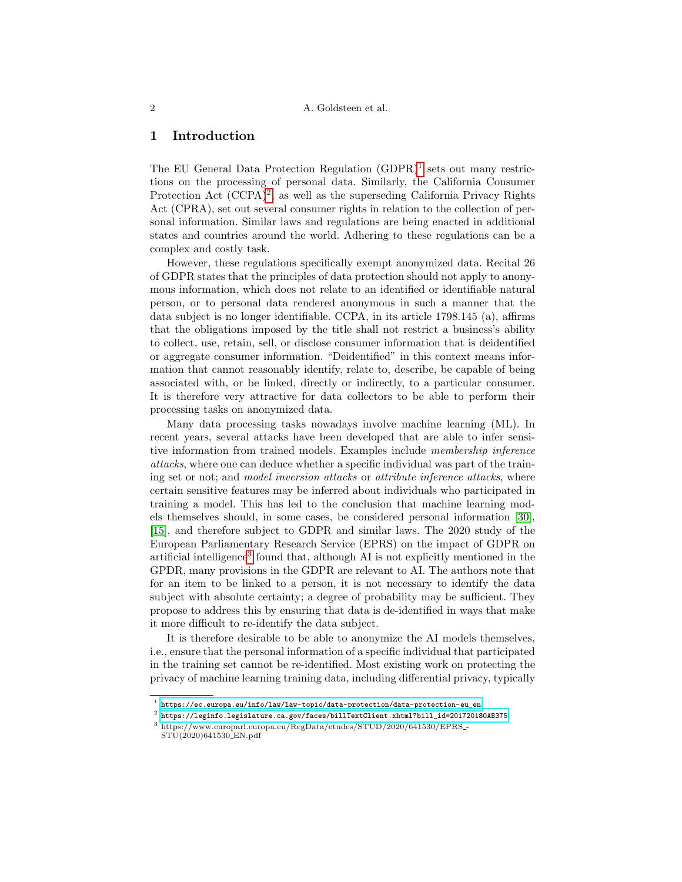### 1 Introduction

The EU General Data Protection Regulation  $(GDPR)^1$  $(GDPR)^1$  sets out many restrictions on the processing of personal data. Similarly, the California Consumer Protection Act  $(CCPA)^2$  $(CCPA)^2$ , as well as the superseding California Privacy Rights Act (CPRA), set out several consumer rights in relation to the collection of personal information. Similar laws and regulations are being enacted in additional states and countries around the world. Adhering to these regulations can be a complex and costly task.

However, these regulations specifically exempt anonymized data. Recital 26 of GDPR states that the principles of data protection should not apply to anonymous information, which does not relate to an identified or identifiable natural person, or to personal data rendered anonymous in such a manner that the data subject is no longer identifiable. CCPA, in its article 1798.145 (a), affirms that the obligations imposed by the title shall not restrict a business's ability to collect, use, retain, sell, or disclose consumer information that is deidentified or aggregate consumer information. "Deidentified" in this context means information that cannot reasonably identify, relate to, describe, be capable of being associated with, or be linked, directly or indirectly, to a particular consumer. It is therefore very attractive for data collectors to be able to perform their processing tasks on anonymized data.

Many data processing tasks nowadays involve machine learning (ML). In recent years, several attacks have been developed that are able to infer sensitive information from trained models. Examples include membership inference attacks, where one can deduce whether a specific individual was part of the training set or not; and model inversion attacks or attribute inference attacks, where certain sensitive features may be inferred about individuals who participated in training a model. This has led to the conclusion that machine learning models themselves should, in some cases, be considered personal information [\[30\]](#page-14-0), [\[15\]](#page-14-1), and therefore subject to GDPR and similar laws. The 2020 study of the European Parliamentary Research Service (EPRS) on the impact of GDPR on artificial intelligence<sup>[3](#page-1-2)</sup> found that, although AI is not explicitly mentioned in the GPDR, many provisions in the GDPR are relevant to AI. The authors note that for an item to be linked to a person, it is not necessary to identify the data subject with absolute certainty; a degree of probability may be sufficient. They propose to address this by ensuring that data is de-identified in ways that make it more difficult to re-identify the data subject.

It is therefore desirable to be able to anonymize the AI models themselves, i.e., ensure that the personal information of a specific individual that participated in the training set cannot be re-identified. Most existing work on protecting the privacy of machine learning training data, including differential privacy, typically

<span id="page-1-0"></span><sup>1</sup> [https://ec.europa.eu/info/law/law-topic/data-protection/data-protection-eu\\_en](https://ec.europa.eu/info/law/law-topic/data-protection/data-protection-eu_en)

<span id="page-1-1"></span> $^2$  [https://leginfo.legislature.ca.gov/faces/billTextClient.xhtml?bill\\_id=201720180AB375](https://leginfo.legislature.ca.gov/faces/billTextClient.xhtml?bill_id=201720180AB375)

<span id="page-1-2"></span> $^3$ https://www.europarl.europa.eu/RegData/etudes/STUD/2020/641530/EPRS  $\!$ 

 $STU(2020)641530$  EN.pdf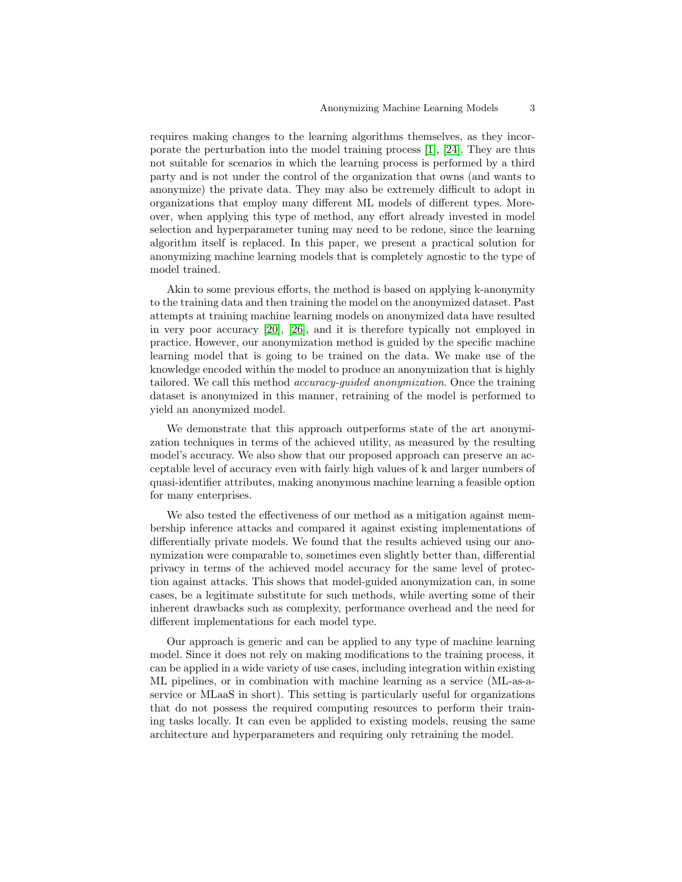requires making changes to the learning algorithms themselves, as they incorporate the perturbation into the model training process [\[1\]](#page-13-0), [\[24\]](#page-14-2). They are thus not suitable for scenarios in which the learning process is performed by a third party and is not under the control of the organization that owns (and wants to anonymize) the private data. They may also be extremely difficult to adopt in organizations that employ many different ML models of different types. Moreover, when applying this type of method, any effort already invested in model selection and hyperparameter tuning may need to be redone, since the learning algorithm itself is replaced. In this paper, we present a practical solution for anonymizing machine learning models that is completely agnostic to the type of model trained.

Akin to some previous efforts, the method is based on applying k-anonymity to the training data and then training the model on the anonymized dataset. Past attempts at training machine learning models on anonymized data have resulted in very poor accuracy [\[20\]](#page-14-3), [\[26\]](#page-14-4), and it is therefore typically not employed in practice. However, our anonymization method is guided by the specific machine learning model that is going to be trained on the data. We make use of the knowledge encoded within the model to produce an anonymization that is highly tailored. We call this method accuracy-guided anonymization. Once the training dataset is anonymized in this manner, retraining of the model is performed to yield an anonymized model.

We demonstrate that this approach outperforms state of the art anonymization techniques in terms of the achieved utility, as measured by the resulting model's accuracy. We also show that our proposed approach can preserve an acceptable level of accuracy even with fairly high values of k and larger numbers of quasi-identifier attributes, making anonymous machine learning a feasible option for many enterprises.

We also tested the effectiveness of our method as a mitigation against membership inference attacks and compared it against existing implementations of differentially private models. We found that the results achieved using our anonymization were comparable to, sometimes even slightly better than, differential privacy in terms of the achieved model accuracy for the same level of protection against attacks. This shows that model-guided anonymization can, in some cases, be a legitimate substitute for such methods, while averting some of their inherent drawbacks such as complexity, performance overhead and the need for different implementations for each model type.

Our approach is generic and can be applied to any type of machine learning model. Since it does not rely on making modifications to the training process, it can be applied in a wide variety of use cases, including integration within existing ML pipelines, or in combination with machine learning as a service (ML-as-aservice or MLaaS in short). This setting is particularly useful for organizations that do not possess the required computing resources to perform their training tasks locally. It can even be applided to existing models, reusing the same architecture and hyperparameters and requiring only retraining the model.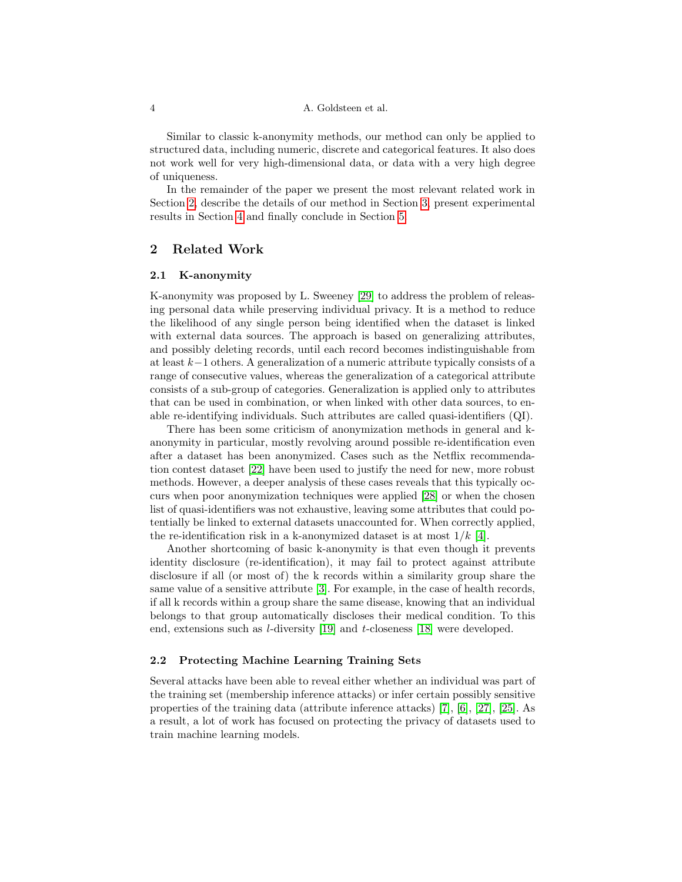#### 4 A. Goldsteen et al.

Similar to classic k-anonymity methods, our method can only be applied to structured data, including numeric, discrete and categorical features. It also does not work well for very high-dimensional data, or data with a very high degree of uniqueness.

In the remainder of the paper we present the most relevant related work in Section [2,](#page-3-0) describe the details of our method in Section [3,](#page-5-0) present experimental results in Section [4](#page-7-0) and finally conclude in Section [5.](#page-12-0)

### <span id="page-3-0"></span>2 Related Work

#### 2.1 K-anonymity

K-anonymity was proposed by L. Sweeney [\[29\]](#page-14-5) to address the problem of releasing personal data while preserving individual privacy. It is a method to reduce the likelihood of any single person being identified when the dataset is linked with external data sources. The approach is based on generalizing attributes, and possibly deleting records, until each record becomes indistinguishable from at least k−1 others. A generalization of a numeric attribute typically consists of a range of consecutive values, whereas the generalization of a categorical attribute consists of a sub-group of categories. Generalization is applied only to attributes that can be used in combination, or when linked with other data sources, to enable re-identifying individuals. Such attributes are called quasi-identifiers (QI).

There has been some criticism of anonymization methods in general and kanonymity in particular, mostly revolving around possible re-identification even after a dataset has been anonymized. Cases such as the Netflix recommendation contest dataset [\[22\]](#page-14-6) have been used to justify the need for new, more robust methods. However, a deeper analysis of these cases reveals that this typically occurs when poor anonymization techniques were applied [\[28\]](#page-14-7) or when the chosen list of quasi-identifiers was not exhaustive, leaving some attributes that could potentially be linked to external datasets unaccounted for. When correctly applied, the re-identification risk in a k-anonymized dataset is at most  $1/k$  [\[4\]](#page-13-1).

Another shortcoming of basic k-anonymity is that even though it prevents identity disclosure (re-identification), it may fail to protect against attribute disclosure if all (or most of) the k records within a similarity group share the same value of a sensitive attribute [\[3\]](#page-13-2). For example, in the case of health records, if all k records within a group share the same disease, knowing that an individual belongs to that group automatically discloses their medical condition. To this end, extensions such as l-diversity [\[19\]](#page-14-8) and t-closeness [\[18\]](#page-14-9) were developed.

### 2.2 Protecting Machine Learning Training Sets

Several attacks have been able to reveal either whether an individual was part of the training set (membership inference attacks) or infer certain possibly sensitive properties of the training data (attribute inference attacks) [\[7\]](#page-13-3), [\[6\]](#page-13-4), [\[27\]](#page-14-10), [\[25\]](#page-14-11). As a result, a lot of work has focused on protecting the privacy of datasets used to train machine learning models.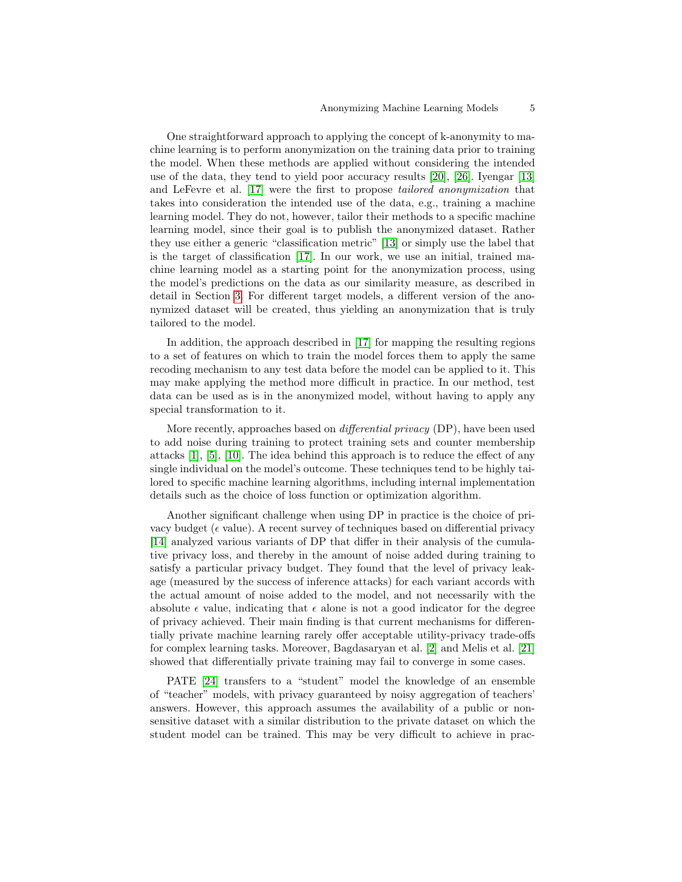One straightforward approach to applying the concept of k-anonymity to machine learning is to perform anonymization on the training data prior to training the model. When these methods are applied without considering the intended use of the data, they tend to yield poor accuracy results [\[20\]](#page-14-3), [\[26\]](#page-14-4). Iyengar [\[13\]](#page-14-12) and LeFevre et al. [\[17\]](#page-14-13) were the first to propose tailored anonymization that takes into consideration the intended use of the data, e.g., training a machine learning model. They do not, however, tailor their methods to a specific machine learning model, since their goal is to publish the anonymized dataset. Rather they use either a generic "classification metric" [\[13\]](#page-14-12) or simply use the label that is the target of classification [\[17\]](#page-14-13). In our work, we use an initial, trained machine learning model as a starting point for the anonymization process, using the model's predictions on the data as our similarity measure, as described in detail in Section [3.](#page-5-0) For different target models, a different version of the anonymized dataset will be created, thus yielding an anonymization that is truly tailored to the model.

In addition, the approach described in [\[17\]](#page-14-13) for mapping the resulting regions to a set of features on which to train the model forces them to apply the same recoding mechanism to any test data before the model can be applied to it. This may make applying the method more difficult in practice. In our method, test data can be used as is in the anonymized model, without having to apply any special transformation to it.

More recently, approaches based on differential privacy (DP), have been used to add noise during training to protect training sets and counter membership attacks [\[1\]](#page-13-0), [\[5\]](#page-13-5), [\[10\]](#page-13-6). The idea behind this approach is to reduce the effect of any single individual on the model's outcome. These techniques tend to be highly tailored to specific machine learning algorithms, including internal implementation details such as the choice of loss function or optimization algorithm.

Another significant challenge when using DP in practice is the choice of privacy budget ( $\epsilon$  value). A recent survey of techniques based on differential privacy [\[14\]](#page-14-14) analyzed various variants of DP that differ in their analysis of the cumulative privacy loss, and thereby in the amount of noise added during training to satisfy a particular privacy budget. They found that the level of privacy leakage (measured by the success of inference attacks) for each variant accords with the actual amount of noise added to the model, and not necessarily with the absolute  $\epsilon$  value, indicating that  $\epsilon$  alone is not a good indicator for the degree of privacy achieved. Their main finding is that current mechanisms for differentially private machine learning rarely offer acceptable utility-privacy trade-offs for complex learning tasks. Moreover, Bagdasaryan et al. [\[2\]](#page-13-7) and Melis et al. [\[21\]](#page-14-15) showed that differentially private training may fail to converge in some cases.

PATE [\[24\]](#page-14-2) transfers to a "student" model the knowledge of an ensemble of "teacher" models, with privacy guaranteed by noisy aggregation of teachers' answers. However, this approach assumes the availability of a public or nonsensitive dataset with a similar distribution to the private dataset on which the student model can be trained. This may be very difficult to achieve in prac-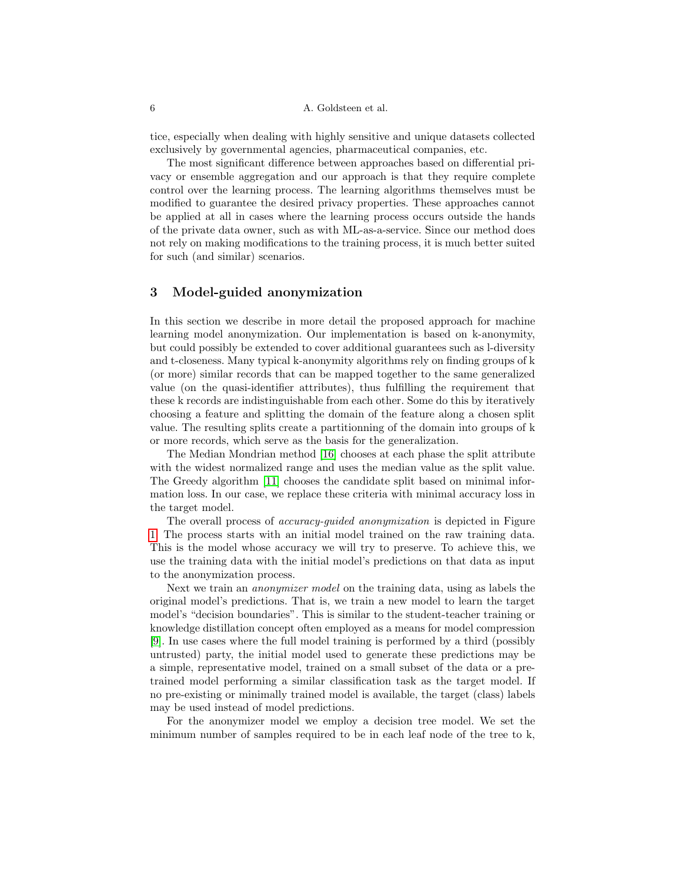#### 6 A. Goldsteen et al.

tice, especially when dealing with highly sensitive and unique datasets collected exclusively by governmental agencies, pharmaceutical companies, etc.

The most significant difference between approaches based on differential privacy or ensemble aggregation and our approach is that they require complete control over the learning process. The learning algorithms themselves must be modified to guarantee the desired privacy properties. These approaches cannot be applied at all in cases where the learning process occurs outside the hands of the private data owner, such as with ML-as-a-service. Since our method does not rely on making modifications to the training process, it is much better suited for such (and similar) scenarios.

### <span id="page-5-0"></span>3 Model-guided anonymization

In this section we describe in more detail the proposed approach for machine learning model anonymization. Our implementation is based on k-anonymity, but could possibly be extended to cover additional guarantees such as l-diversity and t-closeness. Many typical k-anonymity algorithms rely on finding groups of k (or more) similar records that can be mapped together to the same generalized value (on the quasi-identifier attributes), thus fulfilling the requirement that these k records are indistinguishable from each other. Some do this by iteratively choosing a feature and splitting the domain of the feature along a chosen split value. The resulting splits create a partitionning of the domain into groups of k or more records, which serve as the basis for the generalization.

The Median Mondrian method [\[16\]](#page-14-16) chooses at each phase the split attribute with the widest normalized range and uses the median value as the split value. The Greedy algorithm [\[11\]](#page-13-8) chooses the candidate split based on minimal information loss. In our case, we replace these criteria with minimal accuracy loss in the target model.

The overall process of accuracy-guided anonymization is depicted in Figure [1.](#page-6-0) The process starts with an initial model trained on the raw training data. This is the model whose accuracy we will try to preserve. To achieve this, we use the training data with the initial model's predictions on that data as input to the anonymization process.

Next we train an anonymizer model on the training data, using as labels the original model's predictions. That is, we train a new model to learn the target model's "decision boundaries". This is similar to the student-teacher training or knowledge distillation concept often employed as a means for model compression [\[9\]](#page-13-9). In use cases where the full model training is performed by a third (possibly untrusted) party, the initial model used to generate these predictions may be a simple, representative model, trained on a small subset of the data or a pretrained model performing a similar classification task as the target model. If no pre-existing or minimally trained model is available, the target (class) labels may be used instead of model predictions.

For the anonymizer model we employ a decision tree model. We set the minimum number of samples required to be in each leaf node of the tree to k,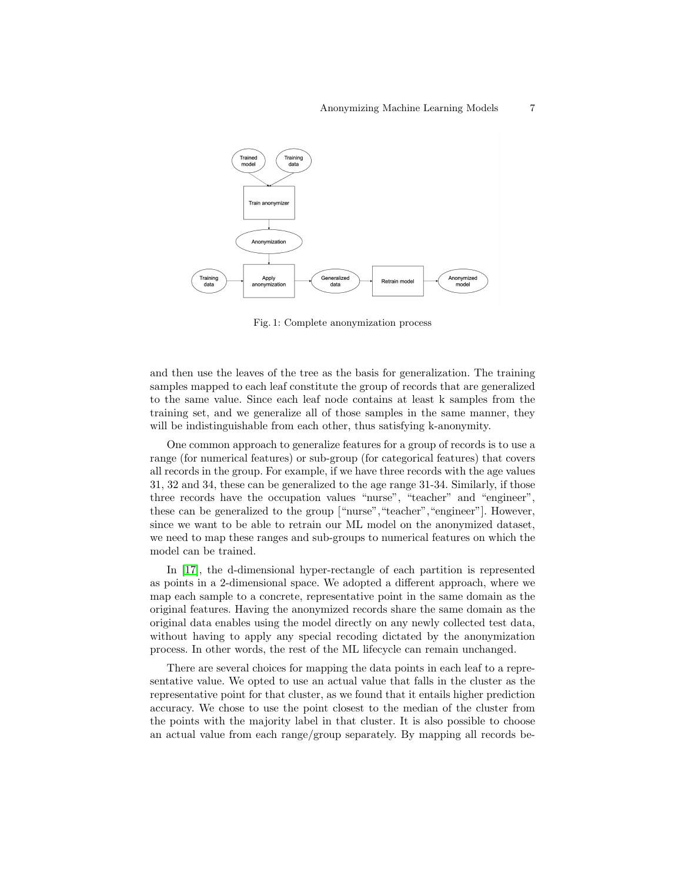<span id="page-6-0"></span>

Fig. 1: Complete anonymization process

and then use the leaves of the tree as the basis for generalization. The training samples mapped to each leaf constitute the group of records that are generalized to the same value. Since each leaf node contains at least k samples from the training set, and we generalize all of those samples in the same manner, they will be indistinguishable from each other, thus satisfying k-anonymity.

One common approach to generalize features for a group of records is to use a range (for numerical features) or sub-group (for categorical features) that covers all records in the group. For example, if we have three records with the age values 31, 32 and 34, these can be generalized to the age range 31-34. Similarly, if those three records have the occupation values "nurse", "teacher" and "engineer", these can be generalized to the group ["nurse","teacher","engineer"]. However, since we want to be able to retrain our ML model on the anonymized dataset, we need to map these ranges and sub-groups to numerical features on which the model can be trained.

In [\[17\]](#page-14-13), the d-dimensional hyper-rectangle of each partition is represented as points in a 2-dimensional space. We adopted a different approach, where we map each sample to a concrete, representative point in the same domain as the original features. Having the anonymized records share the same domain as the original data enables using the model directly on any newly collected test data, without having to apply any special recoding dictated by the anonymization process. In other words, the rest of the ML lifecycle can remain unchanged.

There are several choices for mapping the data points in each leaf to a representative value. We opted to use an actual value that falls in the cluster as the representative point for that cluster, as we found that it entails higher prediction accuracy. We chose to use the point closest to the median of the cluster from the points with the majority label in that cluster. It is also possible to choose an actual value from each range/group separately. By mapping all records be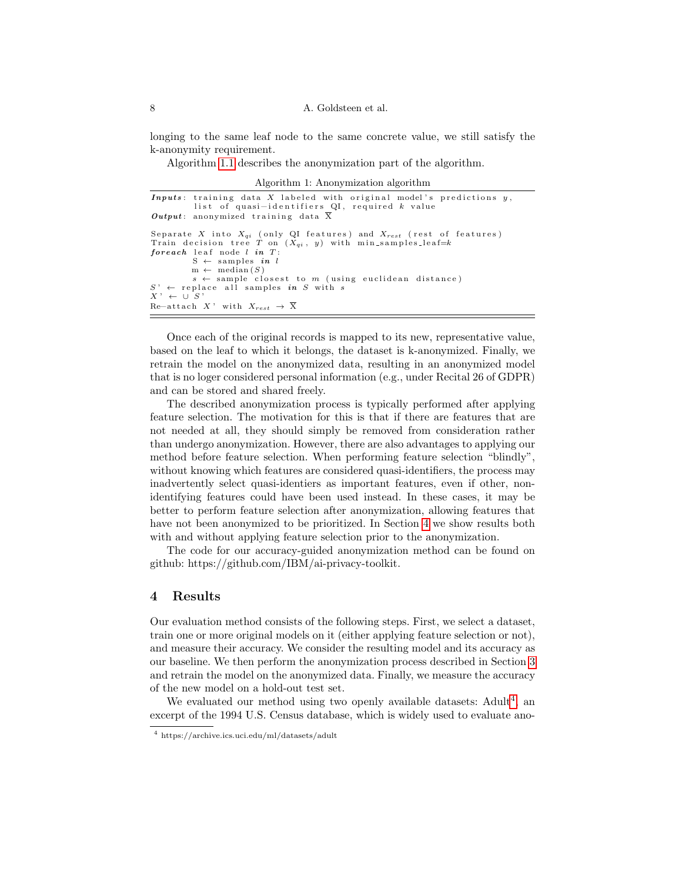longing to the same leaf node to the same concrete value, we still satisfy the k-anonymity requirement.

<span id="page-7-1"></span>Algorithm [1.1](#page-7-1) describes the anonymization part of the algorithm.

Algorithm 1: Anonymization algorithm

| <b>Inputs</b> : training data X labeled with original model's predictions $y$ ,<br>list of quasi-identifiers $QI$ , required k value            |
|-------------------------------------------------------------------------------------------------------------------------------------------------|
| <i>Output</i> : anonymized training data X                                                                                                      |
| Separate X into $X_{qi}$ (only QI features) and $X_{rest}$ (rest of features)<br>Train decision tree T on $(X_{qi}, y)$ with min_samples_leaf=k |
| foreach leaf node l in T:                                                                                                                       |
| $S \leftarrow$ samples in l                                                                                                                     |
| $m \leftarrow \text{median}(S)$                                                                                                                 |
| $s \leftarrow$ sample closest to m (using euclidean distance)                                                                                   |
| $S' \leftarrow$ replace all samples in S with s                                                                                                 |
| $X' + \cup S'$                                                                                                                                  |
| Re-attach X' with $X_{rest} \rightarrow X$                                                                                                      |

Once each of the original records is mapped to its new, representative value, based on the leaf to which it belongs, the dataset is k-anonymized. Finally, we retrain the model on the anonymized data, resulting in an anonymized model that is no loger considered personal information (e.g., under Recital 26 of GDPR) and can be stored and shared freely.

The described anonymization process is typically performed after applying feature selection. The motivation for this is that if there are features that are not needed at all, they should simply be removed from consideration rather than undergo anonymization. However, there are also advantages to applying our method before feature selection. When performing feature selection "blindly", without knowing which features are considered quasi-identifiers, the process may inadvertently select quasi-identiers as important features, even if other, nonidentifying features could have been used instead. In these cases, it may be better to perform feature selection after anonymization, allowing features that have not been anonymized to be prioritized. In Section [4](#page-7-0) we show results both with and without applying feature selection prior to the anonymization.

The code for our accuracy-guided anonymization method can be found on github: https://github.com/IBM/ai-privacy-toolkit.

### <span id="page-7-0"></span>4 Results

Our evaluation method consists of the following steps. First, we select a dataset, train one or more original models on it (either applying feature selection or not), and measure their accuracy. We consider the resulting model and its accuracy as our baseline. We then perform the anonymization process described in Section [3](#page-5-0) and retrain the model on the anonymized data. Finally, we measure the accuracy of the new model on a hold-out test set.

We evaluated our method using two openly available datasets:  $\text{Adult}^4$  $\text{Adult}^4$ , an excerpt of the 1994 U.S. Census database, which is widely used to evaluate ano-

<span id="page-7-2"></span><sup>4</sup> https://archive.ics.uci.edu/ml/datasets/adult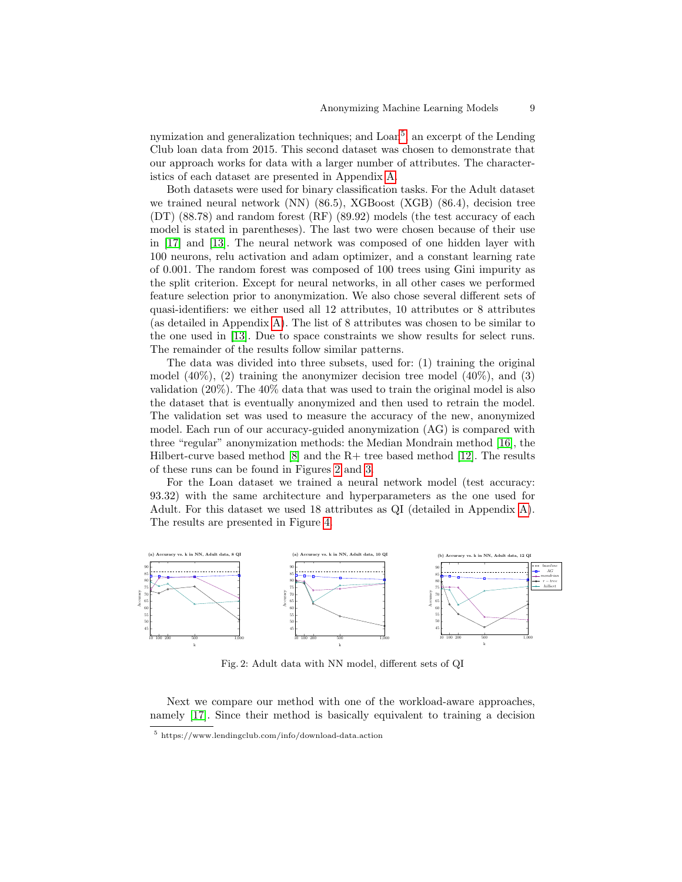nymization and generalization techniques; and Loan<sup>[5](#page-8-0)</sup>, an excerpt of the Lending Club loan data from 2015. This second dataset was chosen to demonstrate that our approach works for data with a larger number of attributes. The characteristics of each dataset are presented in Appendix [A.](#page-15-0)

Both datasets were used for binary classification tasks. For the Adult dataset we trained neural network (NN) (86.5), XGBoost (XGB) (86.4), decision tree (DT) (88.78) and random forest (RF) (89.92) models (the test accuracy of each model is stated in parentheses). The last two were chosen because of their use in [\[17\]](#page-14-13) and [\[13\]](#page-14-12). The neural network was composed of one hidden layer with 100 neurons, relu activation and adam optimizer, and a constant learning rate of 0.001. The random forest was composed of 100 trees using Gini impurity as the split criterion. Except for neural networks, in all other cases we performed feature selection prior to anonymization. We also chose several different sets of quasi-identifiers: we either used all 12 attributes, 10 attributes or 8 attributes (as detailed in Appendix [A\)](#page-15-0). The list of 8 attributes was chosen to be similar to the one used in [\[13\]](#page-14-12). Due to space constraints we show results for select runs. The remainder of the results follow similar patterns.

The data was divided into three subsets, used for: (1) training the original model  $(40\%)$ ,  $(2)$  training the anonymizer decision tree model  $(40\%)$ , and  $(3)$ validation (20%). The 40% data that was used to train the original model is also the dataset that is eventually anonymized and then used to retrain the model. The validation set was used to measure the accuracy of the new, anonymized model. Each run of our accuracy-guided anonymization (AG) is compared with three "regular" anonymization methods: the Median Mondrain method [\[16\]](#page-14-16), the Hilbert-curve based method  $[8]$  and the R+ tree based method  $[12]$ . The results of these runs can be found in Figures [2](#page-8-1) and [3.](#page-9-0)

For the Loan dataset we trained a neural network model (test accuracy: 93.32) with the same architecture and hyperparameters as the one used for Adult. For this dataset we used 18 attributes as QI (detailed in Appendix [A\)](#page-15-0). The results are presented in Figure [4.](#page-9-1)

<span id="page-8-1"></span>

Fig. 2: Adult data with NN model, different sets of QI

Next we compare our method with one of the workload-aware approaches, namely [\[17\]](#page-14-13). Since their method is basically equivalent to training a decision

<span id="page-8-0"></span><sup>5</sup> https://www.lendingclub.com/info/download-data.action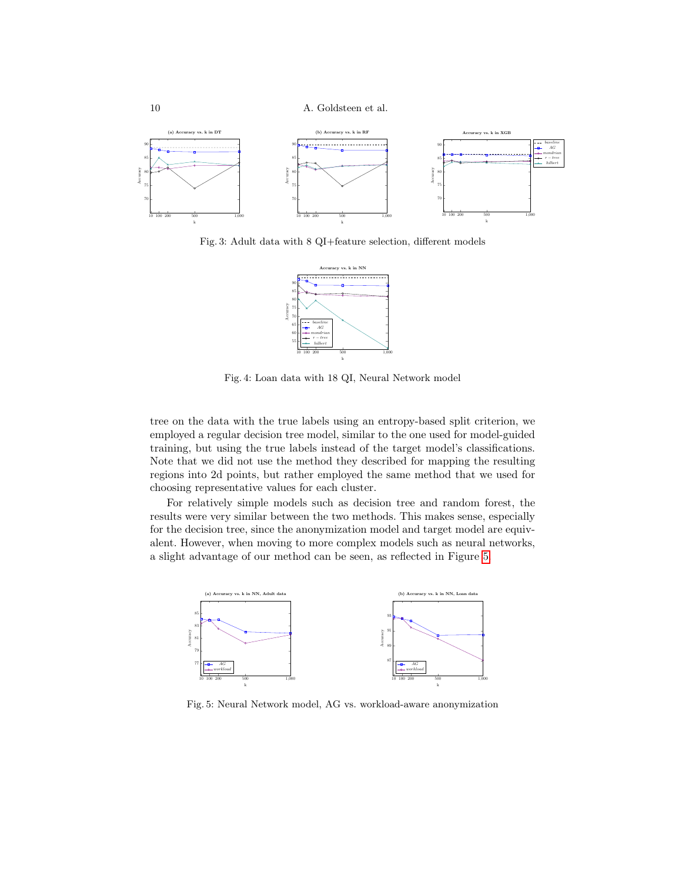<span id="page-9-0"></span>

<span id="page-9-1"></span>Fig. 3: Adult data with 8 QI+feature selection, different models



Fig. 4: Loan data with 18 QI, Neural Network model

tree on the data with the true labels using an entropy-based split criterion, we employed a regular decision tree model, similar to the one used for model-guided training, but using the true labels instead of the target model's classifications. Note that we did not use the method they described for mapping the resulting regions into 2d points, but rather employed the same method that we used for choosing representative values for each cluster.

For relatively simple models such as decision tree and random forest, the results were very similar between the two methods. This makes sense, especially for the decision tree, since the anonymization model and target model are equivalent. However, when moving to more complex models such as neural networks, a slight advantage of our method can be seen, as reflected in Figure [5.](#page-9-2)

<span id="page-9-2"></span>

Fig. 5: Neural Network model, AG vs. workload-aware anonymization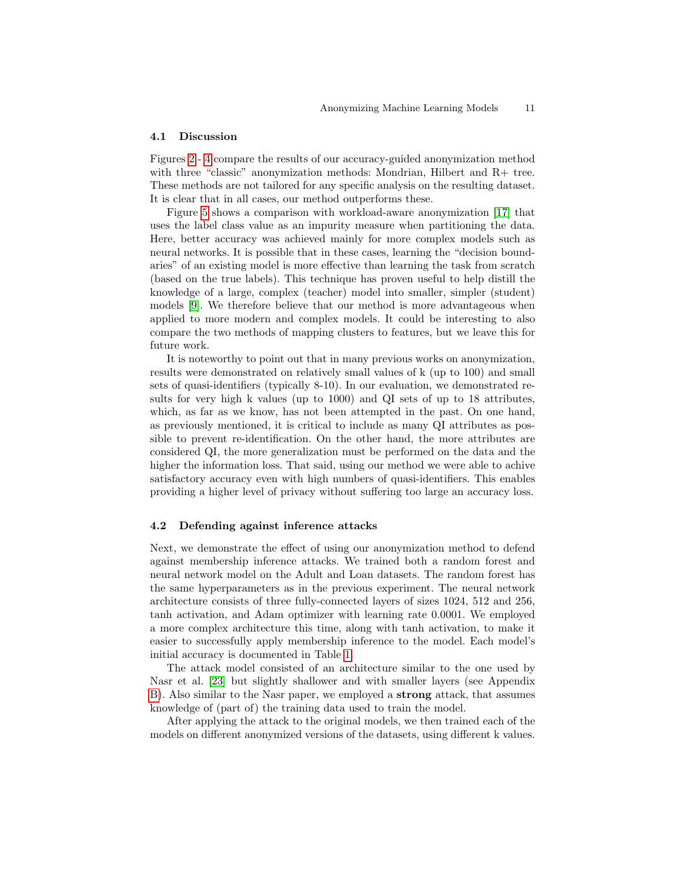#### 4.1 Discussion

Figures [2](#page-8-1) - [4](#page-9-1) compare the results of our accuracy-guided anonymization method with three "classic" anonymization methods: Mondrian, Hilbert and R+ tree. These methods are not tailored for any specific analysis on the resulting dataset. It is clear that in all cases, our method outperforms these.

Figure [5](#page-9-2) shows a comparison with workload-aware anonymization [\[17\]](#page-14-13) that uses the label class value as an impurity measure when partitioning the data. Here, better accuracy was achieved mainly for more complex models such as neural networks. It is possible that in these cases, learning the "decision boundaries" of an existing model is more effective than learning the task from scratch (based on the true labels). This technique has proven useful to help distill the knowledge of a large, complex (teacher) model into smaller, simpler (student) models [\[9\]](#page-13-9). We therefore believe that our method is more advantageous when applied to more modern and complex models. It could be interesting to also compare the two methods of mapping clusters to features, but we leave this for future work.

It is noteworthy to point out that in many previous works on anonymization, results were demonstrated on relatively small values of k (up to 100) and small sets of quasi-identifiers (typically 8-10). In our evaluation, we demonstrated results for very high k values (up to 1000) and QI sets of up to 18 attributes, which, as far as we know, has not been attempted in the past. On one hand, as previously mentioned, it is critical to include as many QI attributes as possible to prevent re-identification. On the other hand, the more attributes are considered QI, the more generalization must be performed on the data and the higher the information loss. That said, using our method we were able to achive satisfactory accuracy even with high numbers of quasi-identifiers. This enables providing a higher level of privacy without suffering too large an accuracy loss.

### 4.2 Defending against inference attacks

Next, we demonstrate the effect of using our anonymization method to defend against membership inference attacks. We trained both a random forest and neural network model on the Adult and Loan datasets. The random forest has the same hyperparameters as in the previous experiment. The neural network architecture consists of three fully-connected layers of sizes 1024, 512 and 256, tanh activation, and Adam optimizer with learning rate 0.0001. We employed a more complex architecture this time, along with tanh activation, to make it easier to successfully apply membership inference to the model. Each model's initial accuracy is documented in Table [1.](#page-11-0)

The attack model consisted of an architecture similar to the one used by Nasr et al. [\[23\]](#page-14-17) but slightly shallower and with smaller layers (see Appendix [B\)](#page-15-1). Also similar to the Nasr paper, we employed a strong attack, that assumes knowledge of (part of) the training data used to train the model.

After applying the attack to the original models, we then trained each of the models on different anonymized versions of the datasets, using different k values.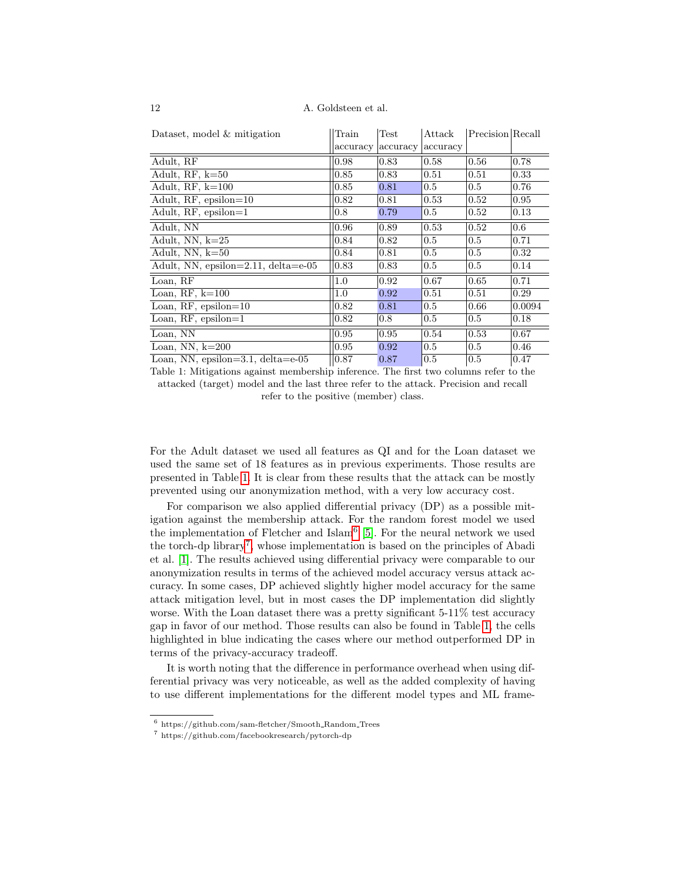<span id="page-11-0"></span>

| Dataset, model $\&$ mitigation            | Train    | Test               | Attack   | Precision Recall |        |
|-------------------------------------------|----------|--------------------|----------|------------------|--------|
|                                           | accuracy | accuracy           | accuracy |                  |        |
| Adult, RF                                 | 0.98     | 0.83               | 0.58     | 0.56             | 0.78   |
| Adult, RF, $k=50$                         | 0.85     | 0.83               | 0.51     | 0.51             | 0.33   |
| Adult, RF, $k=100$                        | 0.85     | 0.81               | 0.5      | 0.5              | 0.76   |
| Adult, $RF$ , epsilon=10                  | 0.82     | 0.81               | 0.53     | 0.52             | 0.95   |
| Adult, $RF$ , epsilon=1                   | 0.8      | $ 0.79\rangle$     | 0.5      | 0.52             | 0.13   |
| Adult, NN                                 | 0.96     | 0.89               | 0.53     | 0.52             | 0.6    |
| Adult, NN, $k=25$                         | 0.84     | 0.82               | $0.5\,$  | 0.5              | 0.71   |
| Adult, NN, $k=50$                         | 0.84     | 0.81               | 0.5      | 0.5              | 0.32   |
| Adult, NN, $epsilon=2.11$ , $delta=0.5$   | 0.83     | 0.83               | 0.5      | 0.5              | 0.14   |
| Loan, RF                                  | 1.0      | 0.92               | 0.67     | 0.65             | 0.71   |
| Loan, RF, $k=100$                         | 1.0      | $\overline{0.92}$  | 0.51     | 0.51             | 0.29   |
| Loan, RF, epsilon= $10$                   | 0.82     | $ 0.81\rangle$     | 0.5      | 0.66             | 0.0094 |
| Loan, RF, epsilon= $1$                    | 0.82     | 0.8                | 0.5      | 0.5              | 0.18   |
| Loan, NN                                  | 0.95     | 0.95               | 0.54     | 0.53             | 0.67   |
| Loan, NN, $k=200$                         | 0.95     | $\vert 0.92 \vert$ | 0.5      | 0.5              | 0.46   |
| Loan, NN, epsilon= $3.1$ , delta= $e$ -05 | 0.87     | 0.87               | 0.5      | 0.5              | 0.47   |

Table 1: Mitigations against membership inference. The first two columns refer to the attacked (target) model and the last three refer to the attack. Precision and recall refer to the positive (member) class.

For the Adult dataset we used all features as QI and for the Loan dataset we used the same set of 18 features as in previous experiments. Those results are presented in Table [1.](#page-11-0) It is clear from these results that the attack can be mostly prevented using our anonymization method, with a very low accuracy cost.

For comparison we also applied differential privacy (DP) as a possible mitigation against the membership attack. For the random forest model we used the implementation of Fletcher and Islam<sup>[6](#page-11-1)</sup> [\[5\]](#page-13-5). For the neural network we used the torch-dp library<sup>[7](#page-11-2)</sup>, whose implementation is based on the principles of Abadi et al. [\[1\]](#page-13-0). The results achieved using differential privacy were comparable to our anonymization results in terms of the achieved model accuracy versus attack accuracy. In some cases, DP achieved slightly higher model accuracy for the same attack mitigation level, but in most cases the DP implementation did slightly worse. With the Loan dataset there was a pretty significant 5-11% test accuracy gap in favor of our method. Those results can also be found in Table [1,](#page-11-0) the cells highlighted in blue indicating the cases where our method outperformed DP in terms of the privacy-accuracy tradeoff.

It is worth noting that the difference in performance overhead when using differential privacy was very noticeable, as well as the added complexity of having to use different implementations for the different model types and ML frame-

<span id="page-11-1"></span> $6$  https://github.com/sam-fletcher/Smooth\_Random\_Trees

<span id="page-11-2"></span><sup>7</sup> https://github.com/facebookresearch/pytorch-dp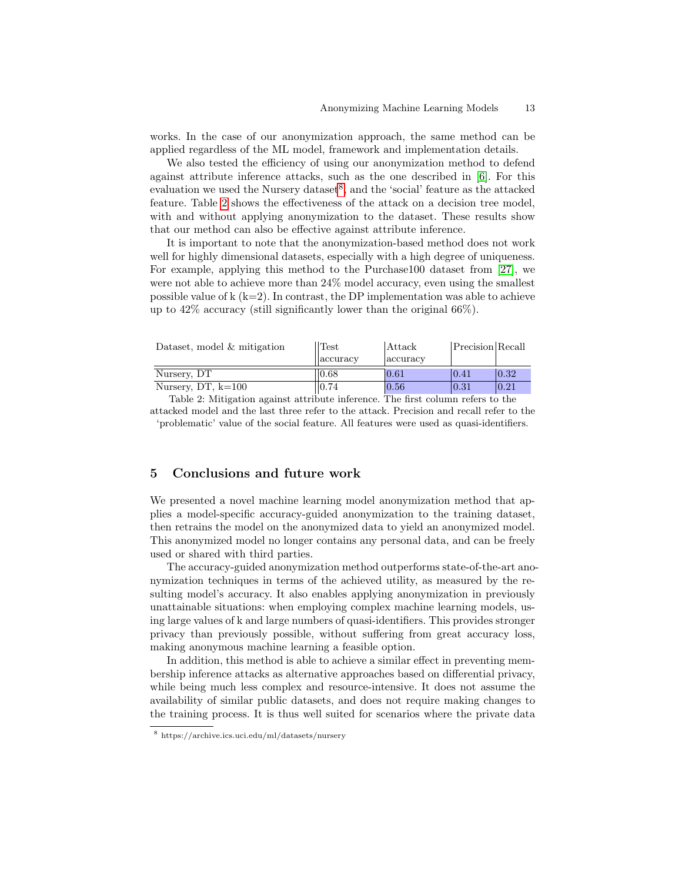works. In the case of our anonymization approach, the same method can be applied regardless of the ML model, framework and implementation details.

We also tested the efficiency of using our anonymization method to defend against attribute inference attacks, such as the one described in [\[6\]](#page-13-4). For this evaluation we used the Nursery dataset<sup>[8](#page-12-1)</sup>, and the 'social' feature as the attacked feature. Table [2](#page-12-2) shows the effectiveness of the attack on a decision tree model, with and without applying anonymization to the dataset. These results show that our method can also be effective against attribute inference.

It is important to note that the anonymization-based method does not work well for highly dimensional datasets, especially with a high degree of uniqueness. For example, applying this method to the Purchase100 dataset from [\[27\]](#page-14-10), we were not able to achieve more than 24% model accuracy, even using the smallest possible value of  $k$  (k=2). In contrast, the DP implementation was able to achieve up to 42% accuracy (still significantly lower than the original 66%).

<span id="page-12-2"></span>

| Dataset, model $\&$ mitigation | Test     | Attack   | Precision Recall |      |
|--------------------------------|----------|----------|------------------|------|
|                                | accuracy | accuracy |                  |      |
| Nursery, DT                    | 0.68     | 0.61     | 0.41             | 0.32 |
| Nursery, DT, $k=100$           | 0.74     | 0.56     | $ 0.31\>$        | 0.21 |

Table 2: Mitigation against attribute inference. The first column refers to the attacked model and the last three refer to the attack. Precision and recall refer to the 'problematic' value of the social feature. All features were used as quasi-identifiers.

### <span id="page-12-0"></span>5 Conclusions and future work

We presented a novel machine learning model anonymization method that applies a model-specific accuracy-guided anonymization to the training dataset, then retrains the model on the anonymized data to yield an anonymized model. This anonymized model no longer contains any personal data, and can be freely used or shared with third parties.

The accuracy-guided anonymization method outperforms state-of-the-art anonymization techniques in terms of the achieved utility, as measured by the resulting model's accuracy. It also enables applying anonymization in previously unattainable situations: when employing complex machine learning models, using large values of k and large numbers of quasi-identifiers. This provides stronger privacy than previously possible, without suffering from great accuracy loss, making anonymous machine learning a feasible option.

In addition, this method is able to achieve a similar effect in preventing membership inference attacks as alternative approaches based on differential privacy, while being much less complex and resource-intensive. It does not assume the availability of similar public datasets, and does not require making changes to the training process. It is thus well suited for scenarios where the private data

<span id="page-12-1"></span><sup>8</sup> https://archive.ics.uci.edu/ml/datasets/nursery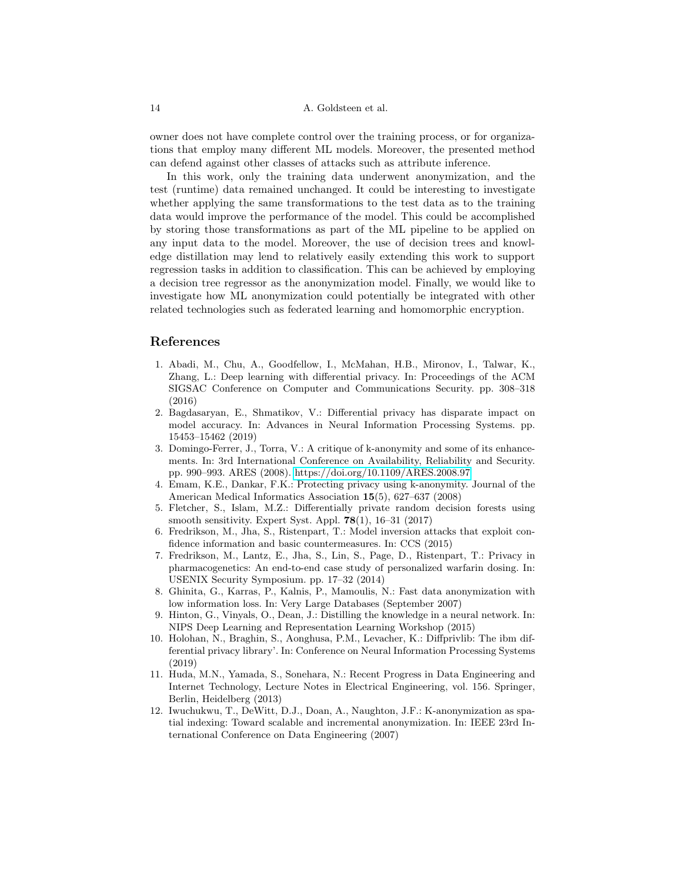#### 14 A. Goldsteen et al.

owner does not have complete control over the training process, or for organizations that employ many different ML models. Moreover, the presented method can defend against other classes of attacks such as attribute inference.

In this work, only the training data underwent anonymization, and the test (runtime) data remained unchanged. It could be interesting to investigate whether applying the same transformations to the test data as to the training data would improve the performance of the model. This could be accomplished by storing those transformations as part of the ML pipeline to be applied on any input data to the model. Moreover, the use of decision trees and knowledge distillation may lend to relatively easily extending this work to support regression tasks in addition to classification. This can be achieved by employing a decision tree regressor as the anonymization model. Finally, we would like to investigate how ML anonymization could potentially be integrated with other related technologies such as federated learning and homomorphic encryption.

### References

- <span id="page-13-0"></span>1. Abadi, M., Chu, A., Goodfellow, I., McMahan, H.B., Mironov, I., Talwar, K., Zhang, L.: Deep learning with differential privacy. In: Proceedings of the ACM SIGSAC Conference on Computer and Communications Security. pp. 308–318 (2016)
- <span id="page-13-7"></span>2. Bagdasaryan, E., Shmatikov, V.: Differential privacy has disparate impact on model accuracy. In: Advances in Neural Information Processing Systems. pp. 15453–15462 (2019)
- <span id="page-13-2"></span>3. Domingo-Ferrer, J., Torra, V.: A critique of k-anonymity and some of its enhancements. In: 3rd International Conference on Availability, Reliability and Security. pp. 990–993. ARES (2008).<https://doi.org/10.1109/ARES.2008.97>
- <span id="page-13-1"></span>4. Emam, K.E., Dankar, F.K.: Protecting privacy using k-anonymity. Journal of the American Medical Informatics Association 15(5), 627–637 (2008)
- <span id="page-13-5"></span>5. Fletcher, S., Islam, M.Z.: Differentially private random decision forests using smooth sensitivity. Expert Syst. Appl.  $78(1)$ ,  $16-31$  (2017)
- <span id="page-13-4"></span>6. Fredrikson, M., Jha, S., Ristenpart, T.: Model inversion attacks that exploit confidence information and basic countermeasures. In: CCS (2015)
- <span id="page-13-3"></span>7. Fredrikson, M., Lantz, E., Jha, S., Lin, S., Page, D., Ristenpart, T.: Privacy in pharmacogenetics: An end-to-end case study of personalized warfarin dosing. In: USENIX Security Symposium. pp. 17–32 (2014)
- <span id="page-13-10"></span>8. Ghinita, G., Karras, P., Kalnis, P., Mamoulis, N.: Fast data anonymization with low information loss. In: Very Large Databases (September 2007)
- <span id="page-13-9"></span>9. Hinton, G., Vinyals, O., Dean, J.: Distilling the knowledge in a neural network. In: NIPS Deep Learning and Representation Learning Workshop (2015)
- <span id="page-13-6"></span>10. Holohan, N., Braghin, S., Aonghusa, P.M., Levacher, K.: Diffprivlib: The ibm differential privacy library'. In: Conference on Neural Information Processing Systems (2019)
- <span id="page-13-8"></span>11. Huda, M.N., Yamada, S., Sonehara, N.: Recent Progress in Data Engineering and Internet Technology, Lecture Notes in Electrical Engineering, vol. 156. Springer, Berlin, Heidelberg (2013)
- <span id="page-13-11"></span>12. Iwuchukwu, T., DeWitt, D.J., Doan, A., Naughton, J.F.: K-anonymization as spatial indexing: Toward scalable and incremental anonymization. In: IEEE 23rd International Conference on Data Engineering (2007)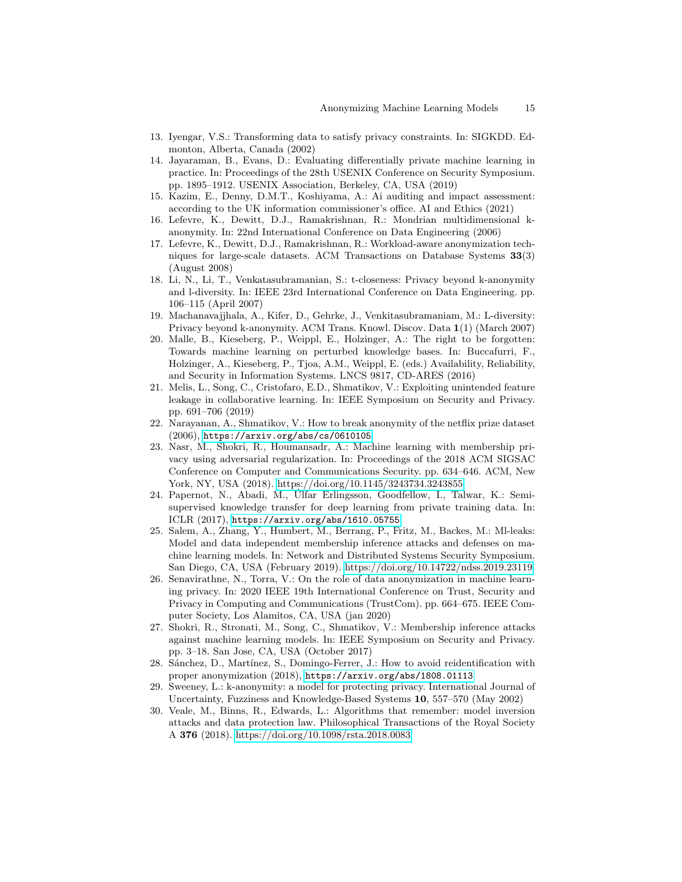- <span id="page-14-12"></span>13. Iyengar, V.S.: Transforming data to satisfy privacy constraints. In: SIGKDD. Edmonton, Alberta, Canada (2002)
- <span id="page-14-14"></span>14. Jayaraman, B., Evans, D.: Evaluating differentially private machine learning in practice. In: Proceedings of the 28th USENIX Conference on Security Symposium. pp. 1895–1912. USENIX Association, Berkeley, CA, USA (2019)
- <span id="page-14-1"></span>15. Kazim, E., Denny, D.M.T., Koshiyama, A.: Ai auditing and impact assessment: according to the UK information commissioner's office. AI and Ethics (2021)
- <span id="page-14-16"></span>16. Lefevre, K., Dewitt, D.J., Ramakrishnan, R.: Mondrian multidimensional kanonymity. In: 22nd International Conference on Data Engineering (2006)
- <span id="page-14-13"></span>17. Lefevre, K., Dewitt, D.J., Ramakrishnan, R.: Workload-aware anonymization techniques for large-scale datasets. ACM Transactions on Database Systems 33(3) (August 2008)
- <span id="page-14-9"></span>18. Li, N., Li, T., Venkatasubramanian, S.: t-closeness: Privacy beyond k-anonymity and l-diversity. In: IEEE 23rd International Conference on Data Engineering. pp. 106–115 (April 2007)
- <span id="page-14-8"></span>19. Machanavajjhala, A., Kifer, D., Gehrke, J., Venkitasubramaniam, M.: L-diversity: Privacy beyond k-anonymity. ACM Trans. Knowl. Discov. Data 1(1) (March 2007)
- <span id="page-14-3"></span>20. Malle, B., Kieseberg, P., Weippl, E., Holzinger, A.: The right to be forgotten: Towards machine learning on perturbed knowledge bases. In: Buccafurri, F., Holzinger, A., Kieseberg, P., Tjoa, A.M., Weippl, E. (eds.) Availability, Reliability, and Security in Information Systems. LNCS 9817, CD-ARES (2016)
- <span id="page-14-15"></span>21. Melis, L., Song, C., Cristofaro, E.D., Shmatikov, V.: Exploiting unintended feature leakage in collaborative learning. In: IEEE Symposium on Security and Privacy. pp. 691–706 (2019)
- <span id="page-14-6"></span>22. Narayanan, A., Shmatikov, V.: How to break anonymity of the netflix prize dataset (2006), <https://arxiv.org/abs/cs/0610105>
- <span id="page-14-17"></span>23. Nasr, M., Shokri, R., Houmansadr, A.: Machine learning with membership privacy using adversarial regularization. In: Proceedings of the 2018 ACM SIGSAC Conference on Computer and Communications Security. pp. 634–646. ACM, New York, NY, USA (2018).<https://doi.org/10.1145/3243734.3243855>
- <span id="page-14-2"></span>24. Papernot, N., Abadi, M., Ulfar Erlingsson, Goodfellow, I., Talwar, K.: Semi- ´ supervised knowledge transfer for deep learning from private training data. In: ICLR (2017), <https://arxiv.org/abs/1610.05755>
- <span id="page-14-11"></span>25. Salem, A., Zhang, Y., Humbert, M., Berrang, P., Fritz, M., Backes, M.: Ml-leaks: Model and data independent membership inference attacks and defenses on machine learning models. In: Network and Distributed Systems Security Symposium. San Diego, CA, USA (February 2019).<https://doi.org/10.14722/ndss.2019.23119>
- <span id="page-14-4"></span>26. Senavirathne, N., Torra, V.: On the role of data anonymization in machine learning privacy. In: 2020 IEEE 19th International Conference on Trust, Security and Privacy in Computing and Communications (TrustCom). pp. 664–675. IEEE Computer Society, Los Alamitos, CA, USA (jan 2020)
- <span id="page-14-10"></span>27. Shokri, R., Stronati, M., Song, C., Shmatikov, V.: Membership inference attacks against machine learning models. In: IEEE Symposium on Security and Privacy. pp. 3–18. San Jose, CA, USA (October 2017)
- <span id="page-14-7"></span>28. Sánchez, D., Martínez, S., Domingo-Ferrer, J.: How to avoid reidentification with proper anonymization (2018), <https://arxiv.org/abs/1808.01113>
- <span id="page-14-5"></span>29. Sweeney, L.: k-anonymity: a model for protecting privacy. International Journal of Uncertainty, Fuzziness and Knowledge-Based Systems 10, 557–570 (May 2002)
- <span id="page-14-0"></span>30. Veale, M., Binns, R., Edwards, L.: Algorithms that remember: model inversion attacks and data protection law. Philosophical Transactions of the Royal Society A 376 (2018).<https://doi.org/10.1098/rsta.2018.0083>